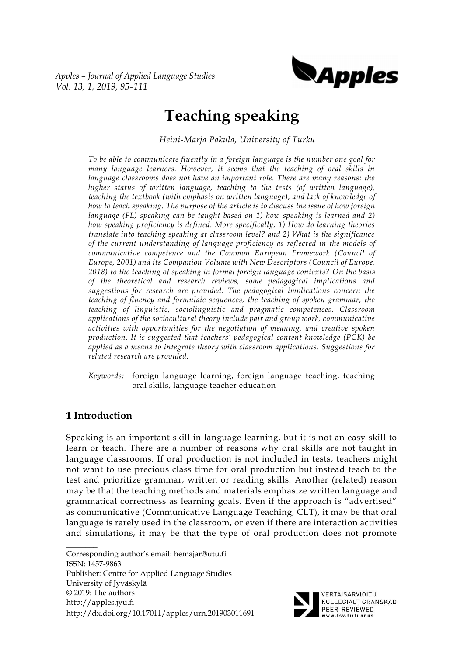*Apples – Journal of Applied Language Studies Vol. 13, 1, 2019, 95–111*



# **Teaching speaking**

*Heini-Marja Pakula, University of Turku*

*To be able to communicate fluently in a foreign language is the number one goal for many language learners. However, it seems that the teaching of oral skills in*  language classrooms does not have an important role. There are many reasons: the *higher status of written language, teaching to the tests (of written language), teaching the textbook (with emphasis on written language), and lack of knowledge of how to teach speaking. The purpose of the article is to discuss the issue of how foreign language (FL) speaking can be taught based on 1) how speaking is learned and 2) how speaking proficiency is defined. More specifically, 1) How do learning theories translate into teaching speaking at classroom level? and 2) What is the significance of the current understanding of language proficiency as reflected in the models of communicative competence and the Common European Framework (Council of Europe, 2001) and its Companion Volume with New Descriptors (Council of Europe, 2018) to the teaching of speaking in formal foreign language contexts? On the basis of the theoretical and research reviews, some pedagogical implications and suggestions for research are provided. The pedagogical implications concern the teaching of fluency and formulaic sequences, the teaching of spoken grammar, the teaching of linguistic, sociolinguistic and pragmatic competences. Classroom applications of the sociocultural theory include pair and group work, communicative activities with opportunities for the negotiation of meaning, and creative spoken production. It is suggested that teachers' pedagogical content knowledge (PCK) be applied as a means to integrate theory with classroom applications. Suggestions for related research are provided.* 

*Keywords:* foreign language learning, foreign language teaching, teaching oral skills, language teacher education

# **1 Introduction**

Speaking is an important skill in language learning, but it is not an easy skill to learn or teach. There are a number of reasons why oral skills are not taught in language classrooms. If oral production is not included in tests, teachers might not want to use precious class time for oral production but instead teach to the test and prioritize grammar, written or reading skills. Another (related) reason may be that the teaching methods and materials emphasize written language and grammatical correctness as learning goals. Even if the approach is "advertised" as communicative (Communicative Language Teaching, CLT), it may be that oral language is rarely used in the classroom, or even if there are interaction activities and simulations, it may be that the type of oral production does not promote

 $\mathcal{L}$ Corresponding author's email: hemajar@utu.fi ISSN: 1457-9863 Publisher: Centre for Applied Language Studies University of Jyväskylä © 2019: The authors http://apples.jyu.fi http://dx.doi.org/10.17011/apples/urn.201903011691



KOLLEGIALT GRANSKAD PEER-REVIEWED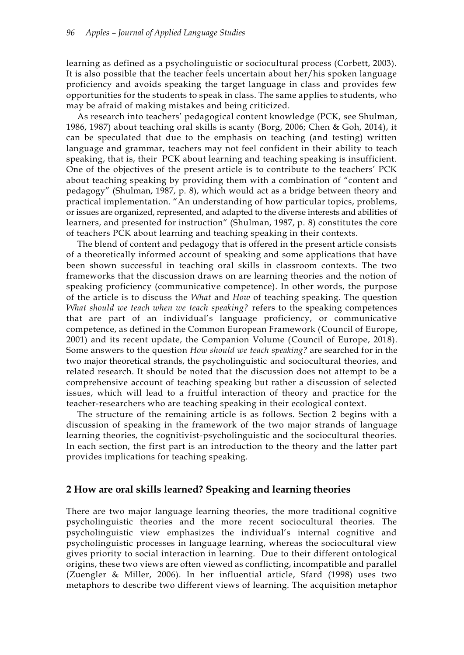learning as defined as a psycholinguistic or sociocultural process (Corbett, 2003). It is also possible that the teacher feels uncertain about her/his spoken language proficiency and avoids speaking the target language in class and provides few opportunities for the students to speak in class. The same applies to students, who may be afraid of making mistakes and being criticized.

As research into teachers' pedagogical content knowledge (PCK, see Shulman, 1986, 1987) about teaching oral skills is scanty (Borg, 2006; Chen & Goh, 2014), it can be speculated that due to the emphasis on teaching (and testing) written language and grammar, teachers may not feel confident in their ability to teach speaking, that is, their PCK about learning and teaching speaking is insufficient. One of the objectives of the present article is to contribute to the teachers' PCK about teaching speaking by providing them with a combination of "content and pedagogy" (Shulman, 1987, p. 8), which would act as a bridge between theory and practical implementation. "An understanding of how particular topics, problems, or issues are organized, represented, and adapted to the diverse interests and abilities of learners, and presented for instruction" (Shulman, 1987, p. 8) constitutes the core of teachers PCK about learning and teaching speaking in their contexts.

The blend of content and pedagogy that is offered in the present article consists of a theoretically informed account of speaking and some applications that have been shown successful in teaching oral skills in classroom contexts. The two frameworks that the discussion draws on are learning theories and the notion of speaking proficiency (communicative competence). In other words, the purpose of the article is to discuss the *What* and *How* of teaching speaking. The question *What should we teach when we teach speaking?* refers to the speaking competences that are part of an individual's language proficiency, or communicative competence, as defined in the Common European Framework (Council of Europe, 2001) and its recent update, the Companion Volume (Council of Europe, 2018). Some answers to the question *How should we teach speaking?* are searched for in the two major theoretical strands, the psycholinguistic and sociocultural theories, and related research. It should be noted that the discussion does not attempt to be a comprehensive account of teaching speaking but rather a discussion of selected issues, which will lead to a fruitful interaction of theory and practice for the teacher-researchers who are teaching speaking in their ecological context.

The structure of the remaining article is as follows. Section 2 begins with a discussion of speaking in the framework of the two major strands of language learning theories, the cognitivist-psycholinguistic and the sociocultural theories. In each section, the first part is an introduction to the theory and the latter part provides implications for teaching speaking.

#### **2 How are oral skills learned? Speaking and learning theories**

There are two major language learning theories, the more traditional cognitive psycholinguistic theories and the more recent sociocultural theories. The psycholinguistic view emphasizes the individual's internal cognitive and psycholinguistic processes in language learning, whereas the sociocultural view gives priority to social interaction in learning. Due to their different ontological origins, these two views are often viewed as conflicting, incompatible and parallel (Zuengler & Miller, 2006). In her influential article, Sfard (1998) uses two metaphors to describe two different views of learning. The acquisition metaphor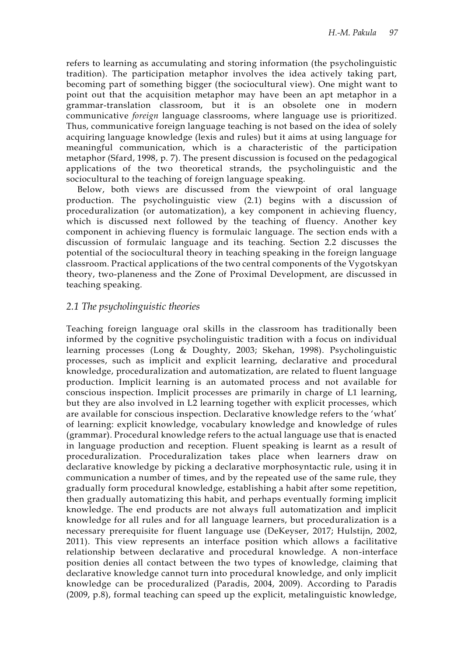refers to learning as accumulating and storing information (the psycholinguistic tradition). The participation metaphor involves the idea actively taking part, becoming part of something bigger (the sociocultural view). One might want to point out that the acquisition metaphor may have been an apt metaphor in a grammar-translation classroom, but it is an obsolete one in modern communicative *foreign* language classrooms, where language use is prioritized. Thus, communicative foreign language teaching is not based on the idea of solely acquiring language knowledge (lexis and rules) but it aims at using language for meaningful communication, which is a characteristic of the participation metaphor (Sfard, 1998, p. 7). The present discussion is focused on the pedagogical applications of the two theoretical strands, the psycholinguistic and the sociocultural to the teaching of foreign language speaking.

Below, both views are discussed from the viewpoint of oral language production. The psycholinguistic view (2.1) begins with a discussion of proceduralization (or automatization), a key component in achieving fluency, which is discussed next followed by the teaching of fluency. Another key component in achieving fluency is formulaic language. The section ends with a discussion of formulaic language and its teaching. Section 2.2 discusses the potential of the sociocultural theory in teaching speaking in the foreign language classroom. Practical applications of the two central components of the Vygotskyan theory, two-planeness and the Zone of Proximal Development, are discussed in teaching speaking.

# *2.1 The psycholinguistic theories*

Teaching foreign language oral skills in the classroom has traditionally been informed by the cognitive psycholinguistic tradition with a focus on individual learning processes (Long & Doughty, 2003; Skehan, 1998). Psycholinguistic processes, such as implicit and explicit learning, declarative and procedural knowledge, proceduralization and automatization, are related to fluent language production. Implicit learning is an automated process and not available for conscious inspection. Implicit processes are primarily in charge of L1 learning, but they are also involved in L2 learning together with explicit processes, which are available for conscious inspection. Declarative knowledge refers to the 'what' of learning: explicit knowledge, vocabulary knowledge and knowledge of rules (grammar). Procedural knowledge refers to the actual language use that is enacted in language production and reception. Fluent speaking is learnt as a result of proceduralization. Proceduralization takes place when learners draw on declarative knowledge by picking a declarative morphosyntactic rule, using it in communication a number of times, and by the repeated use of the same rule, they gradually form procedural knowledge, establishing a habit after some repetition, then gradually automatizing this habit, and perhaps eventually forming implicit knowledge. The end products are not always full automatization and implicit knowledge for all rules and for all language learners, but proceduralization is a necessary prerequisite for fluent language use (DeKeyser, 2017; Hulstijn, 2002, 2011). This view represents an interface position which allows a facilitative relationship between declarative and procedural knowledge. A non-interface position denies all contact between the two types of knowledge, claiming that declarative knowledge cannot turn into procedural knowledge, and only implicit knowledge can be proceduralized (Paradis, 2004, 2009). According to Paradis (2009, p.8), formal teaching can speed up the explicit, metalinguistic knowledge,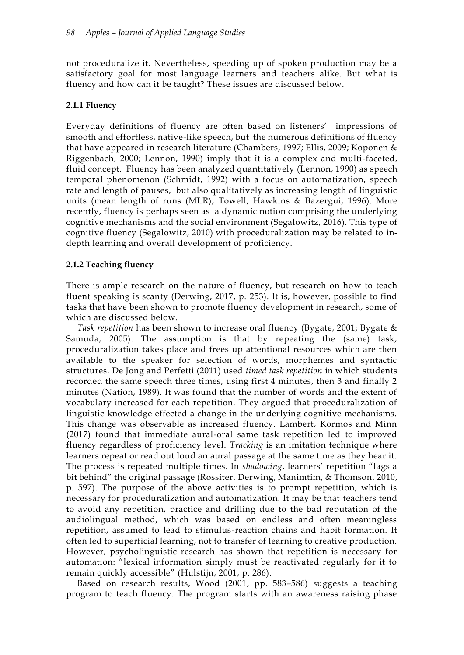not proceduralize it. Nevertheless, speeding up of spoken production may be a satisfactory goal for most language learners and teachers alike. But what is fluency and how can it be taught? These issues are discussed below.

#### **2.1.1 Fluency**

Everyday definitions of fluency are often based on listeners' impressions of smooth and effortless, native-like speech, but the numerous definitions of fluency that have appeared in research literature (Chambers, 1997; Ellis, 2009; Koponen & Riggenbach, 2000; Lennon, 1990) imply that it is a complex and multi-faceted, fluid concept. Fluency has been analyzed quantitatively (Lennon, 1990) as speech temporal phenomenon (Schmidt, 1992) with a focus on automatization, speech rate and length of pauses, but also qualitatively as increasing length of linguistic units (mean length of runs (MLR), Towell, Hawkins & Bazergui, 1996). More recently, fluency is perhaps seen as a dynamic notion comprising the underlying cognitive mechanisms and the social environment (Segalowitz, 2016). This type of cognitive fluency (Segalowitz, 2010) with proceduralization may be related to indepth learning and overall development of proficiency.

#### **2.1.2 Teaching fluency**

There is ample research on the nature of fluency, but research on how to teach fluent speaking is scanty (Derwing, 2017, p. 253). It is, however, possible to find tasks that have been shown to promote fluency development in research, some of which are discussed below.

*Task repetition* has been shown to increase oral fluency (Bygate, 2001; Bygate & Samuda, 2005). The assumption is that by repeating the (same) task, proceduralization takes place and frees up attentional resources which are then available to the speaker for selection of words, morphemes and syntactic structures. De Jong and Perfetti (2011) used *timed task repetition* in which students recorded the same speech three times, using first 4 minutes, then 3 and finally 2 minutes (Nation, 1989). It was found that the number of words and the extent of vocabulary increased for each repetition. They argued that proceduralization of linguistic knowledge effected a change in the underlying cognitive mechanisms. This change was observable as increased fluency. Lambert, Kormos and Minn (2017) found that immediate aural-oral same task repetition led to improved fluency regardless of proficiency level. *Tracking* is an imitation technique where learners repeat or read out loud an aural passage at the same time as they hear it. The process is repeated multiple times. In *shadowing*, learners' repetition "lags a bit behind" the original passage (Rossiter, Derwing, Manimtim, & Thomson, 2010, p. 597). The purpose of the above activities is to prompt repetition, which is necessary for proceduralization and automatization. It may be that teachers tend to avoid any repetition, practice and drilling due to the bad reputation of the audiolingual method, which was based on endless and often meaningless repetition, assumed to lead to stimulus-reaction chains and habit formation. It often led to superficial learning, not to transfer of learning to creative production. However, psycholinguistic research has shown that repetition is necessary for automation: "lexical information simply must be reactivated regularly for it to remain quickly accessible" (Hulstijn, 2001, p. 286).

Based on research results, Wood (2001, pp. 583–586) suggests a teaching program to teach fluency. The program starts with an awareness raising phase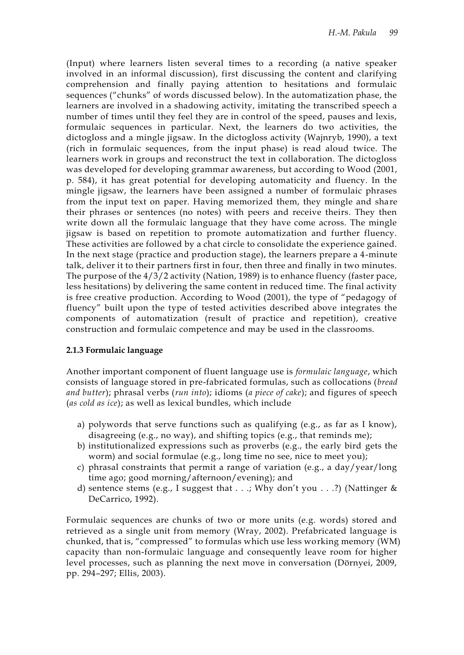(Input) where learners listen several times to a recording (a native speaker involved in an informal discussion), first discussing the content and clarifying comprehension and finally paying attention to hesitations and formulaic sequences ("chunks" of words discussed below). In the automatization phase, the learners are involved in a shadowing activity, imitating the transcribed speech a number of times until they feel they are in control of the speed, pauses and lexis, formulaic sequences in particular. Next, the learners do two activities, the dictogloss and a mingle jigsaw. In the dictogloss activity (Wajnryb, 1990), a text (rich in formulaic sequences, from the input phase) is read aloud twice. The learners work in groups and reconstruct the text in collaboration. The dictogloss was developed for developing grammar awareness, but according to Wood (2001, p. 584), it has great potential for developing automaticity and fluency. In the mingle jigsaw, the learners have been assigned a number of formulaic phrases from the input text on paper. Having memorized them, they mingle and share their phrases or sentences (no notes) with peers and receive theirs. They then write down all the formulaic language that they have come across. The mingle jigsaw is based on repetition to promote automatization and further fluency. These activities are followed by a chat circle to consolidate the experience gained. In the next stage (practice and production stage), the learners prepare a 4-minute talk, deliver it to their partners first in four, then three and finally in two minutes. The purpose of the 4/3/2 activity (Nation, 1989) is to enhance fluency (faster pace, less hesitations) by delivering the same content in reduced time. The final activity is free creative production. According to Wood (2001), the type of "pedagogy of fluency" built upon the type of tested activities described above integrates the components of automatization (result of practice and repetition), creative construction and formulaic competence and may be used in the classrooms.

# **2.1.3 Formulaic language**

Another important component of fluent language use is *formulaic language*, which consists of language stored in pre-fabricated formulas, such as collocations (*bread and butter*); phrasal verbs (*run into*); idioms (*a piece of cake*); and figures of speech (*as cold as ice*); as well as lexical bundles, which include

- a) polywords that serve functions such as qualifying (e.g., as far as I know), disagreeing (e.g., no way), and shifting topics (e.g., that reminds me);
- b) institutionalized expressions such as proverbs (e.g., the early bird gets the worm) and social formulae (e.g., long time no see, nice to meet you);
- c) phrasal constraints that permit a range of variation (e.g., a day/year/long time ago; good morning/afternoon/evening); and
- d) sentence stems (e.g., I suggest that  $\dots$ ; Why don't you  $\dots$ ?) (Nattinger & DeCarrico, 1992).

Formulaic sequences are chunks of two or more units (e.g. words) stored and retrieved as a single unit from memory (Wray, 2002). Prefabricated language is chunked, that is, "compressed" to formulas which use less working memory (WM) capacity than non-formulaic language and consequently leave room for higher level processes, such as planning the next move in conversation (Dörnyei, 2009, pp. 294–297; Ellis, 2003).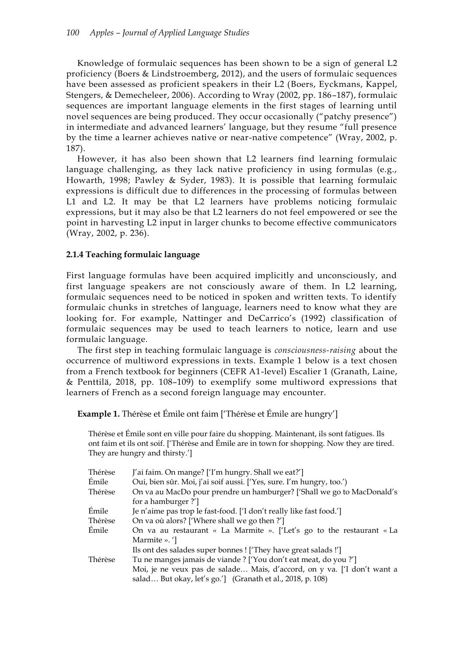Knowledge of formulaic sequences has been shown to be a sign of general L2 proficiency (Boers & Lindstroemberg, 2012), and the users of formulaic sequences have been assessed as proficient speakers in their L2 (Boers, Eyckmans, Kappel, Stengers, & Demecheleer, 2006). According to Wray (2002, pp. 186–187), formulaic sequences are important language elements in the first stages of learning until novel sequences are being produced. They occur occasionally ("patchy presence") in intermediate and advanced learners' language, but they resume "full presence by the time a learner achieves native or near-native competence" (Wray, 2002, p. 187).

However, it has also been shown that L2 learners find learning formulaic language challenging, as they lack native proficiency in using formulas (e.g., Howarth, 1998; Pawley & Syder, 1983). It is possible that learning formulaic expressions is difficult due to differences in the processing of formulas between L1 and L2. It may be that L2 learners have problems noticing formulaic expressions, but it may also be that L2 learners do not feel empowered or see the point in harvesting L2 input in larger chunks to become effective communicators (Wray, 2002, p. 236).

#### **2.1.4 Teaching formulaic language**

First language formulas have been acquired implicitly and unconsciously, and first language speakers are not consciously aware of them. In L2 learning, formulaic sequences need to be noticed in spoken and written texts. To identify formulaic chunks in stretches of language, learners need to know what they are looking for. For example, Nattinger and DeCarrico's (1992) classification of formulaic sequences may be used to teach learners to notice, learn and use formulaic language.

The first step in teaching formulaic language is *consciousness-raising* about the occurrence of multiword expressions in texts. Example 1 below is a text chosen from a French textbook for beginners (CEFR A1-level) Escalier 1 (Granath, Laine, & Penttilä, 2018, pp. 108–109) to exemplify some multiword expressions that learners of French as a second foreign language may encounter.

**Example 1.** Thérèse et Émile ont faim ['Thérèse et Émile are hungry']

Thérèse et Émile sont en ville pour faire du shopping. Maintenant, ils sont fatigues. Ils ont faim et ils ont soif. ['Thérèse and Émile are in town for shopping. Now they are tired. They are hungry and thirsty.']

| Thérèse | J'ai faim. On mange? ['I'm hungry. Shall we eat?']                      |
|---------|-------------------------------------------------------------------------|
| Émile   | Oui, bien sûr. Moi, j'ai soif aussi. ['Yes, sure. I'm hungry, too.')    |
| Thérèse | On va au MacDo pour prendre un hamburger? ['Shall we go to MacDonald's  |
|         | for a hamburger?']                                                      |
| Émile   | Je n'aime pas trop le fast-food. ['I don't really like fast food.']     |
| Thérèse | On va où alors? ['Where shall we go then?']                             |
| Émile   | On va au restaurant « La Marmite ». ['Let's go to the restaurant « La   |
|         | Marmite ». ']                                                           |
|         | Ils ont des salades super bonnes ! ['They have great salads!']          |
| Thérèse | Tu ne manges jamais de viande ? ['You don't eat meat, do you ?']        |
|         | Moi, je ne veux pas de salade Mais, d'accord, on y va. ['I don't want a |
|         | salad But okay, let's go.'] (Granath et al., 2018, p. 108)              |
|         |                                                                         |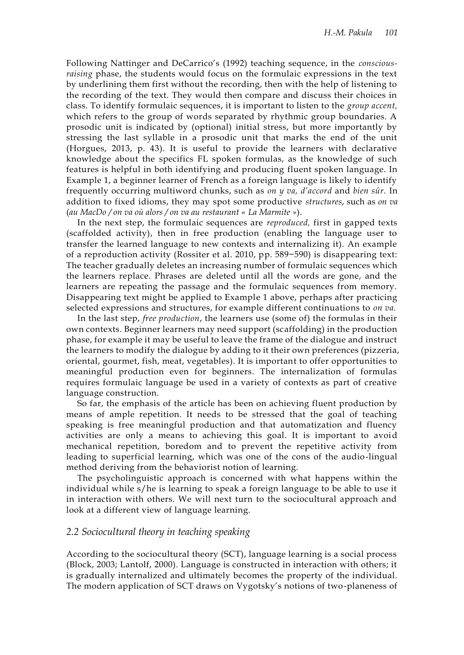Following Nattinger and DeCarrico's (1992) teaching sequence, in the *consciousraising* phase, the students would focus on the formulaic expressions in the text by underlining them first without the recording, then with the help of listening to the recording of the text. They would then compare and discuss their choices in class. To identify formulaic sequences, it is important to listen to the *group accent,* which refers to the group of words separated by rhythmic group boundaries. A prosodic unit is indicated by (optional) initial stress, but more importantly by stressing the last syllable in a prosodic unit that marks the end of the unit (Horgues, 2013, p. 43). It is useful to provide the learners with declarative knowledge about the specifics FL spoken formulas, as the knowledge of such features is helpful in both identifying and producing fluent spoken language. In Example 1, a beginner learner of French as a foreign language is likely to identify frequently occurring multiword chunks, such as *on y va, d'accord* and *bien sûr.* In addition to fixed idioms, they may spot some productive *structures*, such as *on va*  (*au MacDo / on va où alors / on va au restaurant « La Marmite »*).

In the next step, the formulaic sequences are *reproduced,* first in gapped texts (scaffolded activity), then in free production (enabling the language user to transfer the learned language to new contexts and internalizing it). An example of a reproduction activity (Rossiter et al. 2010, pp. 589−590) is disappearing text: The teacher gradually deletes an increasing number of formulaic sequences which the learners replace. Phrases are deleted until all the words are gone, and the learners are repeating the passage and the formulaic sequences from memory. Disappearing text might be applied to Example 1 above, perhaps after practicing selected expressions and structures, for example different continuations to *on va.*

In the last step, *free production*, the learners use (some of) the formulas in their own contexts. Beginner learners may need support (scaffolding) in the production phase, for example it may be useful to leave the frame of the dialogue and instruct the learners to modify the dialogue by adding to it their own preferences (pizzeria, oriental, gourmet, fish, meat, vegetables). It is important to offer opportunities to meaningful production even for beginners. The internalization of formulas requires formulaic language be used in a variety of contexts as part of creative language construction.

So far, the emphasis of the article has been on achieving fluent production by means of ample repetition. It needs to be stressed that the goal of teaching speaking is free meaningful production and that automatization and fluency activities are only a means to achieving this goal. It is important to avoid mechanical repetition, boredom and to prevent the repetitive activity from leading to superficial learning, which was one of the cons of the audio-lingual method deriving from the behaviorist notion of learning.

The psycholinguistic approach is concerned with what happens within the individual while s/he is learning to speak a foreign language to be able to use it in interaction with others. We will next turn to the sociocultural approach and look at a different view of language learning.

#### *2.2 Sociocultural theory in teaching speaking*

According to the sociocultural theory (SCT), language learning is a social process (Block, 2003; Lantolf, 2000). Language is constructed in interaction with others; it is gradually internalized and ultimately becomes the property of the individual. The modern application of SCT draws on Vygotsky's notions of two-planeness of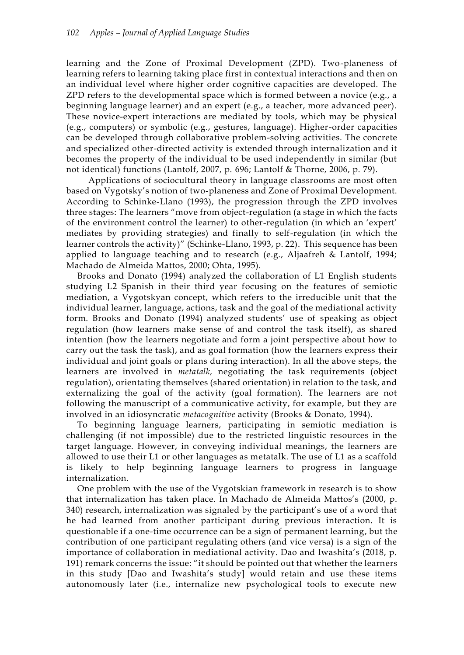learning and the Zone of Proximal Development (ZPD). Two-planeness of learning refers to learning taking place first in contextual interactions and then on an individual level where higher order cognitive capacities are developed. The ZPD refers to the developmental space which is formed between a novice (e.g., a beginning language learner) and an expert (e.g., a teacher, more advanced peer). These novice-expert interactions are mediated by tools, which may be physical (e.g., computers) or symbolic (e.g., gestures, language). Higher-order capacities can be developed through collaborative problem-solving activities. The concrete and specialized other-directed activity is extended through internalization and it becomes the property of the individual to be used independently in similar (but not identical) functions (Lantolf, 2007, p. 696; Lantolf & Thorne, 2006, p. 79).

Applications of sociocultural theory in language classrooms are most often based on Vygotsky's notion of two-planeness and Zone of Proximal Development. According to Schinke-Llano (1993), the progression through the ZPD involves three stages: The learners "move from object-regulation (a stage in which the facts of the environment control the learner) to other-regulation (in which an 'expert' mediates by providing strategies) and finally to self-regulation (in which the learner controls the activity)" (Schinke-Llano, 1993, p. 22). This sequence has been applied to language teaching and to research (e.g., Aljaafreh & Lantolf, 1994; Machado de Almeida Mattos, 2000; Ohta, 1995).

Brooks and Donato (1994) analyzed the collaboration of L1 English students studying L2 Spanish in their third year focusing on the features of semiotic mediation, a Vygotskyan concept, which refers to the irreducible unit that the individual learner, language, actions, task and the goal of the mediational activity form. Brooks and Donato (1994) analyzed students' use of speaking as object regulation (how learners make sense of and control the task itself), as shared intention (how the learners negotiate and form a joint perspective about how to carry out the task the task), and as goal formation (how the learners express their individual and joint goals or plans during interaction). In all the above steps, the learners are involved in *metatalk,* negotiating the task requirements (object regulation), orientating themselves (shared orientation) in relation to the task, and externalizing the goal of the activity (goal formation). The learners are not following the manuscript of a communicative activity, for example, but they are involved in an idiosyncratic *metacognitive* activity (Brooks & Donato, 1994).

To beginning language learners, participating in semiotic mediation is challenging (if not impossible) due to the restricted linguistic resources in the target language. However, in conveying individual meanings, the learners are allowed to use their L1 or other languages as metatalk. The use of L1 as a scaffold is likely to help beginning language learners to progress in language internalization.

One problem with the use of the Vygotskian framework in research is to show that internalization has taken place. In Machado de Almeida Mattos's (2000, p. 340) research, internalization was signaled by the participant's use of a word that he had learned from another participant during previous interaction. It is questionable if a one-time occurrence can be a sign of permanent learning, but the contribution of one participant regulating others (and vice versa) is a sign of the importance of collaboration in mediational activity. Dao and Iwashita's (2018, p. 191) remark concerns the issue: "it should be pointed out that whether the learners in this study [Dao and Iwashita's study] would retain and use these items autonomously later (i.e., internalize new psychological tools to execute new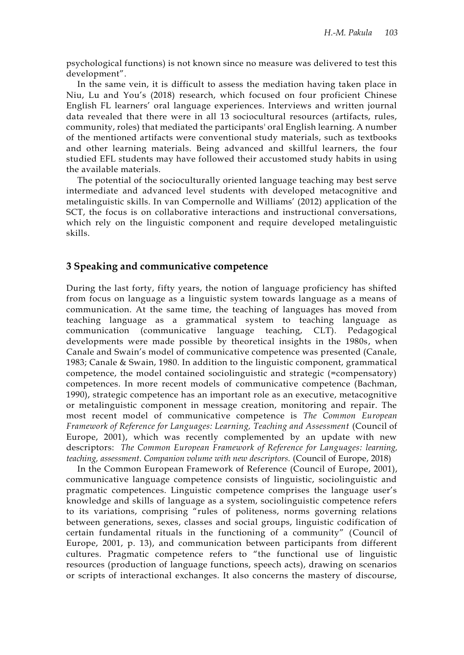psychological functions) is not known since no measure was delivered to test this development".

In the same vein, it is difficult to assess the mediation having taken place in Niu, Lu and You's (2018) research, which focused on four proficient Chinese English FL learners' oral language experiences. Interviews and written journal data revealed that there were in all 13 sociocultural resources (artifacts, rules, community, roles) that mediated the participants' oral English learning. A number of the mentioned artifacts were conventional study materials, such as textbooks and other learning materials. Being advanced and skillful learners, the four studied EFL students may have followed their accustomed study habits in using the available materials.

The potential of the socioculturally oriented language teaching may best serve intermediate and advanced level students with developed metacognitive and metalinguistic skills. In van Compernolle and Williams' (2012) application of the SCT, the focus is on collaborative interactions and instructional conversations, which rely on the linguistic component and require developed metalinguistic skills.

#### **3 Speaking and communicative competence**

During the last forty, fifty years, the notion of language proficiency has shifted from focus on language as a linguistic system towards language as a means of communication. At the same time, the teaching of languages has moved from teaching language as a grammatical system to teaching language as communication (communicative language teaching, CLT). Pedagogical developments were made possible by theoretical insights in the 1980s, when Canale and Swain's model of communicative competence was presented (Canale, 1983; Canale & Swain, 1980. In addition to the linguistic component, grammatical competence, the model contained sociolinguistic and strategic (=compensatory) competences. In more recent models of communicative competence (Bachman, 1990), strategic competence has an important role as an executive, metacognitive or metalinguistic component in message creation, monitoring and repair. The most recent model of communicative competence is *The Common European Framework of Reference for Languages: Learning, Teaching and Assessment* (Council of Europe, 2001), which was recently complemented by an update with new descriptors: *The Common European Framework of Reference for Languages: learning, teaching, assessment. Companion volume with new descriptors.* (Council of Europe, 2018)

In the Common European Framework of Reference (Council of Europe, 2001), communicative language competence consists of linguistic, sociolinguistic and pragmatic competences. Linguistic competence comprises the language user's knowledge and skills of language as a system, sociolinguistic competence refers to its variations, comprising "rules of politeness, norms governing relations between generations, sexes, classes and social groups, linguistic codification of certain fundamental rituals in the functioning of a community" (Council of Europe, 2001, p. 13), and communication between participants from different cultures. Pragmatic competence refers to "the functional use of linguistic resources (production of language functions, speech acts), drawing on scenarios or scripts of interactional exchanges. It also concerns the mastery of discourse,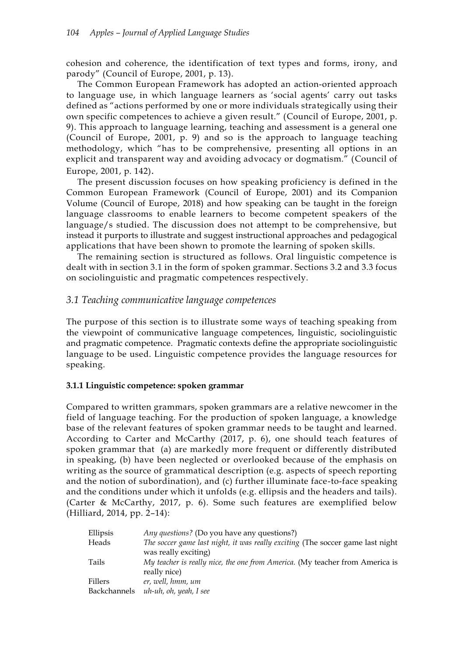cohesion and coherence, the identification of text types and forms, irony, and parody" (Council of Europe, 2001, p. 13).

The Common European Framework has adopted an action-oriented approach to language use, in which language learners as 'social agents' carry out tasks defined as "actions performed by one or more individuals strategically using their own specific competences to achieve a given result." (Council of Europe, 2001, p. 9). This approach to language learning, teaching and assessment is a general one (Council of Europe, 2001, p. 9) and so is the approach to language teaching methodology, which "has to be comprehensive, presenting all options in an explicit and transparent way and avoiding advocacy or dogmatism." (Council of Europe, 2001, p. 142).

The present discussion focuses on how speaking proficiency is defined in the Common European Framework (Council of Europe, 2001) and its Companion Volume (Council of Europe, 2018) and how speaking can be taught in the foreign language classrooms to enable learners to become competent speakers of the language/s studied. The discussion does not attempt to be comprehensive, but instead it purports to illustrate and suggest instructional approaches and pedagogical applications that have been shown to promote the learning of spoken skills.

The remaining section is structured as follows. Oral linguistic competence is dealt with in section 3.1 in the form of spoken grammar. Sections 3.2 and 3.3 focus on sociolinguistic and pragmatic competences respectively.

# *3.1 Teaching communicative language competences*

The purpose of this section is to illustrate some ways of teaching speaking from the viewpoint of communicative language competences, linguistic, sociolinguistic and pragmatic competence. Pragmatic contexts define the appropriate sociolinguistic language to be used. Linguistic competence provides the language resources for speaking.

#### **3.1.1 Linguistic competence: spoken grammar**

Compared to written grammars, spoken grammars are a relative newcomer in the field of language teaching. For the production of spoken language, a knowledge base of the relevant features of spoken grammar needs to be taught and learned. According to Carter and McCarthy (2017, p. 6), one should teach features of spoken grammar that (a) are markedly more frequent or differently distributed in speaking, (b) have been neglected or overlooked because of the emphasis on writing as the source of grammatical description (e.g. aspects of speech reporting and the notion of subordination), and (c) further illuminate face-to-face speaking and the conditions under which it unfolds (e.g. ellipsis and the headers and tails). (Carter & McCarthy, 2017, p. 6). Some such features are exemplified below (Hilliard, 2014, pp. 2–14):

| Ellipsis     | <i>Any questions?</i> (Do you have any questions?)                             |
|--------------|--------------------------------------------------------------------------------|
| Heads        | The soccer game last night, it was really exciting (The soccer game last night |
|              | was really exciting)                                                           |
| Tails        | My teacher is really nice, the one from America. (My teacher from America is   |
|              | really nice)                                                                   |
| Fillers      | er, well, hmm, um                                                              |
| Backchannels | uh-uh, oh, yeah, I see                                                         |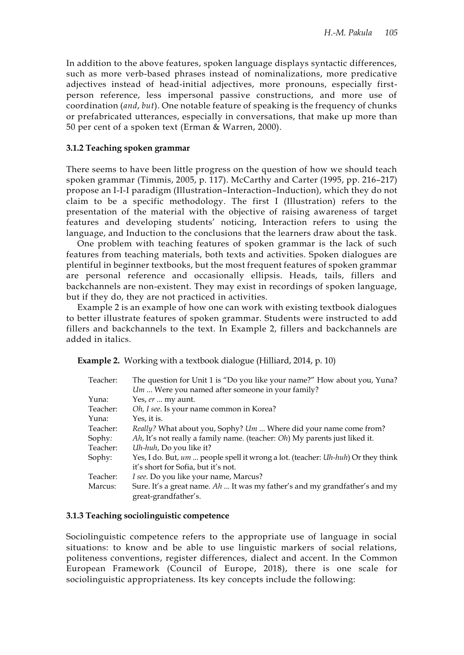In addition to the above features, spoken language displays syntactic differences, such as more verb-based phrases instead of nominalizations, more predicative adjectives instead of head-initial adjectives, more pronouns, especially firstperson reference, less impersonal passive constructions, and more use of coordination (*and*, *but*). One notable feature of speaking is the frequency of chunks or prefabricated utterances, especially in conversations, that make up more than 50 per cent of a spoken text (Erman & Warren, 2000).

#### **3.1.2 Teaching spoken grammar**

There seems to have been little progress on the question of how we should teach spoken grammar (Timmis, 2005, p. 117). McCarthy and Carter (1995, pp. 216–217) propose an I-I-I paradigm (Illustration–Interaction–Induction), which they do not claim to be a specific methodology. The first I (Illustration) refers to the presentation of the material with the objective of raising awareness of target features and developing students' noticing, Interaction refers to using the language, and Induction to the conclusions that the learners draw about the task.

One problem with teaching features of spoken grammar is the lack of such features from teaching materials, both texts and activities. Spoken dialogues are plentiful in beginner textbooks, but the most frequent features of spoken grammar are personal reference and occasionally ellipsis. Heads, tails, fillers and backchannels are non-existent. They may exist in recordings of spoken language, but if they do, they are not practiced in activities.

Example 2 is an example of how one can work with existing textbook dialogues to better illustrate features of spoken grammar. Students were instructed to add fillers and backchannels to the text. In Example 2, fillers and backchannels are added in italics.

**Example 2.** Working with a textbook dialogue (Hilliard, 2014, p. 10)

| Teacher: | The question for Unit 1 is "Do you like your name?" How about you, Yuna?<br>Um  Were you named after someone in your family? |
|----------|------------------------------------------------------------------------------------------------------------------------------|
| Yuna:    | Yes, er  my aunt.                                                                                                            |
| Teacher: | Oh, I see. Is your name common in Korea?                                                                                     |
| Yuna:    | Yes, it is.                                                                                                                  |
| Teacher: | Really? What about you, Sophy? Um  Where did your name come from?                                                            |
| Sophy:   | Ah, It's not really a family name. (teacher: Oh) My parents just liked it.                                                   |
| Teacher: | Uh-huh, Do you like it?                                                                                                      |
| Sophy:   | Yes, I do. But, um  people spell it wrong a lot. (teacher: Uh-huh) Or they think<br>it's short for Sofia, but it's not.      |
| Teacher: | I see. Do you like your name, Marcus?                                                                                        |
| Marcus:  | Sure. It's a great name. $Ah$ It was my father's and my grandfather's and my<br>great-grandfather's.                         |

#### **3.1.3 Teaching sociolinguistic competence**

Sociolinguistic competence refers to the appropriate use of language in social situations: to know and be able to use linguistic markers of social relations, politeness conventions, register differences, dialect and accent. In the Common European Framework (Council of Europe, 2018), there is one scale for sociolinguistic appropriateness. Its key concepts include the following: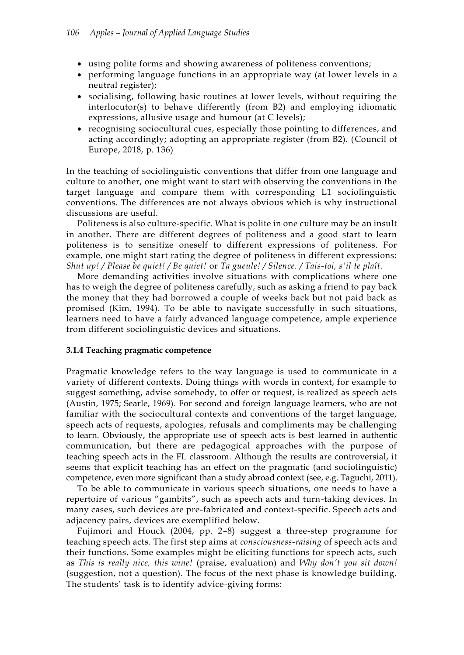- using polite forms and showing awareness of politeness conventions;
- performing language functions in an appropriate way (at lower levels in a neutral register);
- socialising, following basic routines at lower levels, without requiring the interlocutor(s) to behave differently (from B2) and employing idiomatic expressions, allusive usage and humour (at C levels);
- recognising sociocultural cues, especially those pointing to differences, and acting accordingly; adopting an appropriate register (from B2). (Council of Europe, 2018, p. 136)

In the teaching of sociolinguistic conventions that differ from one language and culture to another, one might want to start with observing the conventions in the target language and compare them with corresponding L1 sociolinguistic conventions. The differences are not always obvious which is why instructional discussions are useful.

Politeness is also culture-specific. What is polite in one culture may be an insult in another. There are different degrees of politeness and a good start to learn politeness is to sensitize oneself to different expressions of politeness. For example, one might start rating the degree of politeness in different expressions: *Shut up! / Please be quiet! / Be quiet!* or *Ta gueule! / Silence. / Tais-toi, s'il te plaît.*

More demanding activities involve situations with complications where one has to weigh the degree of politeness carefully, such as asking a friend to pay back the money that they had borrowed a couple of weeks back but not paid back as promised (Kim, 1994). To be able to navigate successfully in such situations, learners need to have a fairly advanced language competence, ample experience from different sociolinguistic devices and situations.

#### **3.1.4 Teaching pragmatic competence**

Pragmatic knowledge refers to the way language is used to communicate in a variety of different contexts. Doing things with words in context, for example to suggest something, advise somebody, to offer or request, is realized as speech acts (Austin, 1975; Searle, 1969). For second and foreign language learners, who are not familiar with the sociocultural contexts and conventions of the target language, speech acts of requests, apologies, refusals and compliments may be challenging to learn. Obviously, the appropriate use of speech acts is best learned in authentic communication, but there are pedagogical approaches with the purpose of teaching speech acts in the FL classroom. Although the results are controversial, it seems that explicit teaching has an effect on the pragmatic (and sociolinguistic) competence, even more significant than a study abroad context (see, e.g. Taguchi, 2011).

To be able to communicate in various speech situations, one needs to have a repertoire of various "gambits", such as speech acts and turn-taking devices. In many cases, such devices are pre-fabricated and context-specific. Speech acts and adjacency pairs, devices are exemplified below.

Fujimori and Houck (2004, pp. 2–8) suggest a three-step programme for teaching speech acts. The first step aims at *consciousness-raising* of speech acts and their functions. Some examples might be eliciting functions for speech acts, such as *This is really nice, this wine!* (praise, evaluation) and *Why don't you sit down!* (suggestion, not a question). The focus of the next phase is knowledge building. The students' task is to identify advice-giving forms: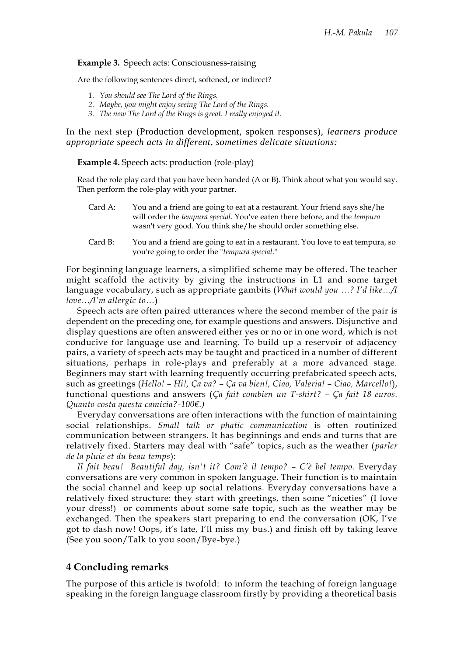#### **Example 3.** Speech acts: Consciousness-raising

Are the following sentences direct, softened, or indirect?

- *1. You should see The Lord of the Rings.*
- *2. Maybe, you might enjoy seeing The Lord of the Rings.*
- *3. The new The Lord of the Rings is great. I really enjoyed it.*

In the next step (Production development, spoken responses)*, learners produce appropriate speech acts in different, sometimes delicate situations:* 

**Example 4.** Speech acts: production (role-play)

Read the role play card that you have been handed (A or B). Think about what you would say. Then perform the role-play with your partner.

- Card A: You and a friend are going to eat at a restaurant. Your friend says she/he will order the *tempura special*. You've eaten there before, and the *tempura* wasn't very good. You think she/he should order something else.
- Card B: You and a friend are going to eat in a restaurant. You love to eat tempura, so you're going to order the "*tempura special*."

For beginning language learners, a simplified scheme may be offered. The teacher might scaffold the activity by giving the instructions in L1 and some target language vocabulary, such as appropriate gambits (*What would you …? I'd like…/I love…/I'm allergic to…*)

Speech acts are often paired utterances where the second member of the pair is dependent on the preceding one, for example questions and answers. Disjunctive and display questions are often answered either yes or no or in one word, which is not conducive for language use and learning. To build up a reservoir of adjacency pairs, a variety of speech acts may be taught and practiced in a number of different situations, perhaps in role-plays and preferably at a more advanced stage. Beginners may start with learning frequently occurring prefabricated speech acts, such as greetings (*Hello! – Hi!, Ça va? – Ça va bien!, Ciao, Valeria! – Ciao, Marcello!*), functional questions and answers (*Ça fait combien un T-shirt? – Ça fait 18 euros. Quanto costa questa camicia?-100€.)* 

Everyday conversations are often interactions with the function of maintaining social relationships. *Small talk or phatic communication* is often routinized communication between strangers. It has beginnings and ends and turns that are relatively fixed. Starters may deal with "safe" topics, such as the weather (*parler de la pluie et du beau temps*):

*Il fait beau! Beautiful day, isn't it? Com'è il tempo? – C'è bel tempo.* Everyday conversations are very common in spoken language. Their function is to maintain the social channel and keep up social relations. Everyday conversations have a relatively fixed structure: they start with greetings, then some "niceties" (I love your dress!) or comments about some safe topic, such as the weather may be exchanged. Then the speakers start preparing to end the conversation (OK, I've got to dash now! Oops, it's late, I'll miss my bus.) and finish off by taking leave (See you soon/Talk to you soon/Bye-bye.)

#### **4 Concluding remarks**

The purpose of this article is twofold: to inform the teaching of foreign language speaking in the foreign language classroom firstly by providing a theoretical basis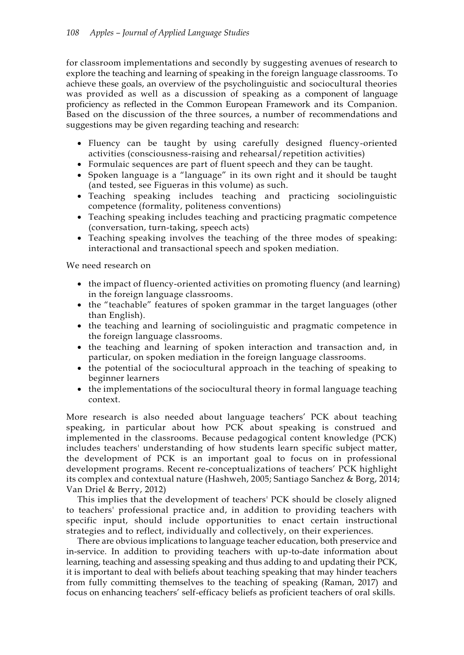for classroom implementations and secondly by suggesting avenues of research to explore the teaching and learning of speaking in the foreign language classrooms. To achieve these goals, an overview of the psycholinguistic and sociocultural theories was provided as well as a discussion of speaking as a component of language proficiency as reflected in the Common European Framework and its Companion. Based on the discussion of the three sources, a number of recommendations and suggestions may be given regarding teaching and research:

- Fluency can be taught by using carefully designed fluency-oriented activities (consciousness-raising and rehearsal/repetition activities)
- Formulaic sequences are part of fluent speech and they can be taught.
- Spoken language is a "language" in its own right and it should be taught (and tested, see Figueras in this volume) as such.
- Teaching speaking includes teaching and practicing sociolinguistic competence (formality, politeness conventions)
- Teaching speaking includes teaching and practicing pragmatic competence (conversation, turn-taking, speech acts)
- Teaching speaking involves the teaching of the three modes of speaking: interactional and transactional speech and spoken mediation.

We need research on

- the impact of fluency-oriented activities on promoting fluency (and learning) in the foreign language classrooms.
- the "teachable" features of spoken grammar in the target languages (other than English).
- the teaching and learning of sociolinguistic and pragmatic competence in the foreign language classrooms.
- the teaching and learning of spoken interaction and transaction and, in particular, on spoken mediation in the foreign language classrooms.
- the potential of the sociocultural approach in the teaching of speaking to beginner learners
- the implementations of the sociocultural theory in formal language teaching context.

More research is also needed about language teachers' PCK about teaching speaking, in particular about how PCK about speaking is construed and implemented in the classrooms. Because pedagogical content knowledge (PCK) includes teachers' understanding of how students learn specific subject matter, the development of PCK is an important goal to focus on in professional development programs. Recent re-conceptualizations of teachers' PCK highlight its complex and contextual nature (Hashweh, 2005; Santiago Sanchez & Borg, 2014; Van Driel & Berry, 2012)

This implies that the development of teachers' PCK should be closely aligned to teachers' professional practice and, in addition to providing teachers with specific input, should include opportunities to enact certain instructional strategies and to reflect, individually and collectively, on their experiences.

There are obvious implications to language teacher education, both preservice and in-service. In addition to providing teachers with up-to-date information about learning, teaching and assessing speaking and thus adding to and updating their PCK, it is important to deal with beliefs about teaching speaking that may hinder teachers from fully committing themselves to the teaching of speaking (Raman, 2017) and focus on enhancing teachers' self-efficacy beliefs as proficient teachers of oral skills.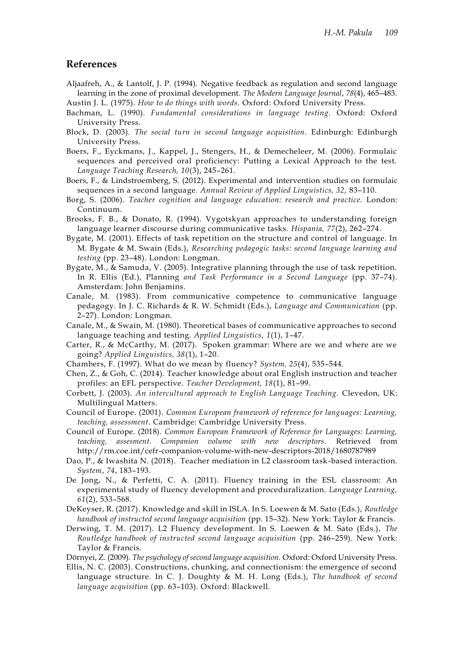#### **References**

- Aljaafreh, A., & Lantolf, J. P. (1994). Negative feedback as regulation and second language learning in the zone of proximal development. *The Modern Language Journal*, *78*(4), 465–483. Austin J. L. (1975). *How to do things with words.* Oxford: Oxford University Press.
- Bachman, L. (1990). *Fundamental considerations in language testing.* Oxford: Oxford University Press.
- Block, D. (2003). *The social turn in second language acquisition*. Edinburgh: Edinburgh University Press.
- Boers, F., Eyckmans, J., Kappel, J., Stengers, H., & Demecheleer, M. (2006). Formulaic sequences and perceived oral proficiency: Putting a Lexical Approach to the test. *Language Teaching Research, 10*(3), 245–261.
- Boers, F., & Lindstroemberg, S. (2012). Experimental and intervention studies on formulaic sequences in a second language. *Annual Review of Applied Linguistics, 32,* 83–110.
- Borg, S. (2006). *Teacher cognition and language education: research and practice.* London: Continuum.
- Brooks, F. B., & Donato, R. (1994). Vygotskyan approaches to understanding foreign language learner discourse during communicative tasks. *Hispania, 77*(2), 262–274.
- Bygate, M. (2001). Effects of task repetition on the structure and control of language. In M. Bygate & M. Swain (Eds.), *Researching pedagogic tasks: second language learning and testing* (pp. 23–48). London: Longman.
- Bygate, M., & Samuda, V. (2005). Integrative planning through the use of task repetition. In R. Ellis (Ed.), Planning *and Task Performance in a Second Language* (pp. 37–74). Amsterdam: John Benjamins.
- Canale, M. (1983). From communicative competence to communicative language pedagogy. In J. C. Richards & R. W. Schmidt (Eds.), *Language and Communication* (pp. 2–27). London: Longman.
- Canale, M., & Swain, M. (1980). Theoretical bases of communicative approaches to second language teaching and testing. *Applied Linguistics, 1*(1), 1–47.
- Carter, R., & McCarthy, M. (2017). Spoken grammar: Where are we and where are we going? *Applied Linguistics, 38*(1), 1–20.
- Chambers, F. (1997). What do we mean by fluency? *System, 25*(4), 535–544.
- Chen, Z., & Goh, C. (2014). Teacher knowledge about oral English instruction and teacher profiles: an EFL perspective. *Teacher Development, 18*(1), 81–99.
- Corbett, J. (2003). *An intercultural approach to English Language Teaching.* Clevedon, UK: Multilingual Matters.
- Council of Europe. (2001). *Common European framework of reference for languages: Learning, teaching, assessment*. Cambridge: Cambridge University Press.
- Council of Europe. (2018). *Common European Framework of Reference for Languages: Learning, teaching, assesment. Companion volume with new descriptors*. Retrieved from http://rm.coe.int/cefr-companion-volume-with-new-descriptors-2018/1680787989
- Dao, P., & Iwashita N. (2018). Teacher mediation in L2 classroom task-based interaction. *System*, *74*, 183–193.
- De Jong, N., & Perfetti, C. A. (2011). Fluency training in the ESL classroom: An experimental study of fluency development and proceduralization. *Language Learning, 61*(2), 533–568.
- DeKeyser, R. (2017). Knowledge and skill in ISLA. In S. Loewen & M. Sato (Eds.), *Routledge handbook of instructed second language acquisition* (pp. 15–32). New York: Taylor & Francis.
- Derwing, T. M. (2017). L2 Fluency development. In S. Loewen & M. Sato (Eds.), *The Routledge handbook of instructed second language acquisition* (pp. 246–259). New York: Taylor & Francis.
- Dörnyei, Z. (2009). *The psychology of second language acquisition.* Oxford: Oxford University Press.
- Ellis, N. C. (2003). Constructions, chunking, and connectionism: the emergence of second language structure. In C. J. Doughty & M. H. Long (Eds.), *The handbook of second language acquisition* (pp. 63–103). Oxford: Blackwell.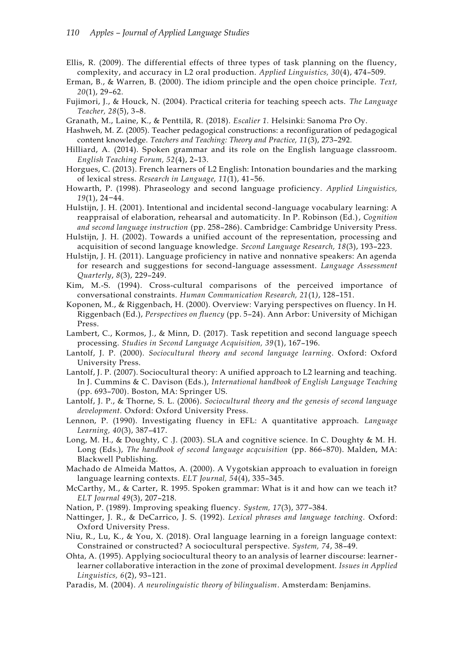- Ellis, R. (2009). The differential effects of three types of task planning on the fluency, complexity, and accuracy in L2 oral production. *Applied Linguistics, 30*(4), 474–509.
- Erman, B., & Warren, B. (2000). The idiom principle and the open choice principle. *Text, 20*(1), 29–62.
- Fujimori, J., & Houck, N. (2004). Practical criteria for teaching speech acts. *The Language Teacher, 28*(5), 3–8.
- Granath, M., Laine, K., & Penttilä, R. (2018). *Escalier 1.* Helsinki: Sanoma Pro Oy.
- Hashweh, M. Z. (2005). Teacher pedagogical constructions: a reconfiguration of pedagogical content knowledge. *Teachers and Teaching: Theory and Practice, 11*(3), 273–292.
- Hilliard, A. (2014). Spoken grammar and its role on the English language classroom. *English Teaching Forum, 52*(4), 2–13.
- Horgues, C. (2013). French learners of L2 English: Intonation boundaries and the marking of lexical stress. *Research in Language, 11*(1), 41–56.
- Howarth, P. (1998). Phraseology and second language proficiency. *Applied Linguistics, 19*(1), 24−44.
- Hulstijn, J. H. (2001). Intentional and incidental second-language vocabulary learning: A reappraisal of elaboration, rehearsal and automaticity. In P. Robinson (Ed.), *Cognition and second language instruction* (pp. 258–286). Cambridge: Cambridge University Press.
- Hulstijn, J. H. (2002). Towards a unified account of the representation, processing and acquisition of second language knowledge. *Second Language Research, 18*(3), 193–223.
- Hulstijn, J. H. (2011). Language proficiency in native and nonnative speakers: An agenda for research and suggestions for second-language assessment. *Language Assessment Quarterly*, *8*(3), 229–249.
- Kim, M.-S. (1994). Cross-cultural comparisons of the perceived importance of conversational constraints. *Human Communication Research, 21*(1*)*, 128–151.
- Koponen, M., & Riggenbach, H. (2000). Overview: Varying perspectives on fluency. In H. Riggenbach (Ed.), *Perspectives on fluency* (pp. 5–24). Ann Arbor: University of Michigan Press.
- Lambert, C., Kormos, J., & Minn, D. (2017). Task repetition and second language speech processing. *Studies in Second Language Acquisition, 39*(1), 167–196.
- Lantolf, J. P. (2000). *Sociocultural theory and second language learning*. Oxford: Oxford University Press.
- Lantolf, J. P. (2007). Sociocultural theory: A unified approach to L2 learning and teaching. In J. Cummins & C. Davison (Eds.), *International handbook of English Language Teaching*  (pp. 693–700). Boston, MA: Springer US.
- Lantolf, J. P., & Thorne, S. L. (2006). *Sociocultural theory and the genesis of second language development.* Oxford: Oxford University Press.
- Lennon, P. (1990). Investigating fluency in EFL: A quantitative approach. *Language Learning, 40*(3), 387–417.
- Long, M. H., & Doughty, C .J. (2003). SLA and cognitive science. In C. Doughty & M. H. Long (Eds.), *The handbook of second language acqcuisition* (pp. 866–870). Malden, MA: Blackwell Publishing.
- Machado de Almeida Mattos, A. (2000). A Vygotskian approach to evaluation in foreign language learning contexts. *ELT Journal, 54*(4), 335–345.
- McCarthy, M., & Carter, R. 1995. Spoken grammar: What is it and how can we teach it? *ELT Journal 49*(3), 207–218.
- Nation, P. (1989). Improving speaking fluency. *System, 17*(3), 377–384.
- Nattinger, J. R., & DeCarrico, J. S. (1992). *Lexical phrases and language teaching.* Oxford: Oxford University Press.
- Niu, R., Lu, K., & You, X. (2018). Oral language learning in a foreign language context: Constrained or constructed? A sociocultural perspective. *System, 74*, 38–49.
- Ohta, A. (1995). Applying sociocultural theory to an analysis of learner discourse: learnerlearner collaborative interaction in the zone of proximal development. *Issues in Applied Linguistics, 6*(2), 93–121.
- Paradis, M. (2004). *A neurolinguistic theory of bilingualism*. Amsterdam: Benjamins.